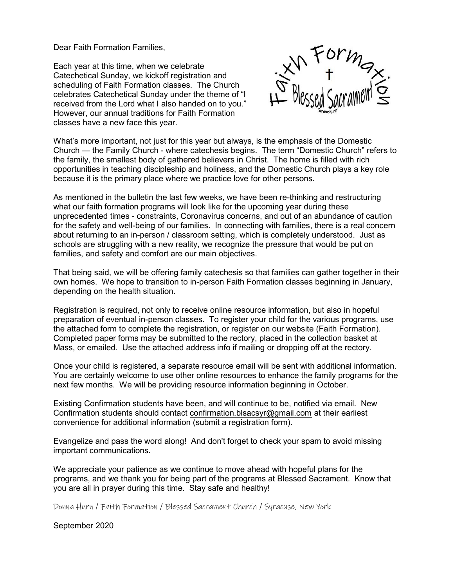Dear Faith Formation Families,

Each year at this time, when we celebrate Catechetical Sunday, we kickoff registration and scheduling of Faith Formation classes. The Church celebrates Catechetical Sunday under the theme of "I received from the Lord what I also handed on to you." However, our annual traditions for Faith Formation classes have a new face this year.



What's more important, not just for this year but always, is the emphasis of the Domestic Church — the Family Church - where catechesis begins. The term "Domestic Church" refers to the family, the smallest body of gathered believers in Christ. The home is filled with rich opportunities in teaching discipleship and holiness, and the Domestic Church plays a key role because it is the primary place where we practice love for other persons.

As mentioned in the bulletin the last few weeks, we have been re-thinking and restructuring what our faith formation programs will look like for the upcoming year during these unprecedented times - constraints, Coronavirus concerns, and out of an abundance of caution for the safety and well-being of our families. In connecting with families, there is a real concern about returning to an in-person / classroom setting, which is completely understood. Just as schools are struggling with a new reality, we recognize the pressure that would be put on families, and safety and comfort are our main objectives.

That being said, we will be offering family catechesis so that families can gather together in their own homes. We hope to transition to in-person Faith Formation classes beginning in January, depending on the health situation.

Registration is required, not only to receive online resource information, but also in hopeful preparation of eventual in-person classes. To register your child for the various programs, use the attached form to complete the registration, or register on our website (Faith Formation). Completed paper forms may be submitted to the rectory, placed in the collection basket at Mass, or emailed. Use the attached address info if mailing or dropping off at the rectory.

Once your child is registered, a separate resource email will be sent with additional information. You are certainly welcome to use other online resources to enhance the family programs for the next few months. We will be providing resource information beginning in October.

Existing Confirmation students have been, and will continue to be, notified via email. New Confirmation students should contact confirmation.blsacsyr@gmail.com at their earliest convenience for additional information (submit a registration form).

Evangelize and pass the word along! And don't forget to check your spam to avoid missing important communications.

We appreciate your patience as we continue to move ahead with hopeful plans for the programs, and we thank you for being part of the programs at Blessed Sacrament. Know that you are all in prayer during this time. Stay safe and healthy!

Donna Hurn / Faith Formation / Blessed Sacrament Church / Syracuse, New York

September 2020